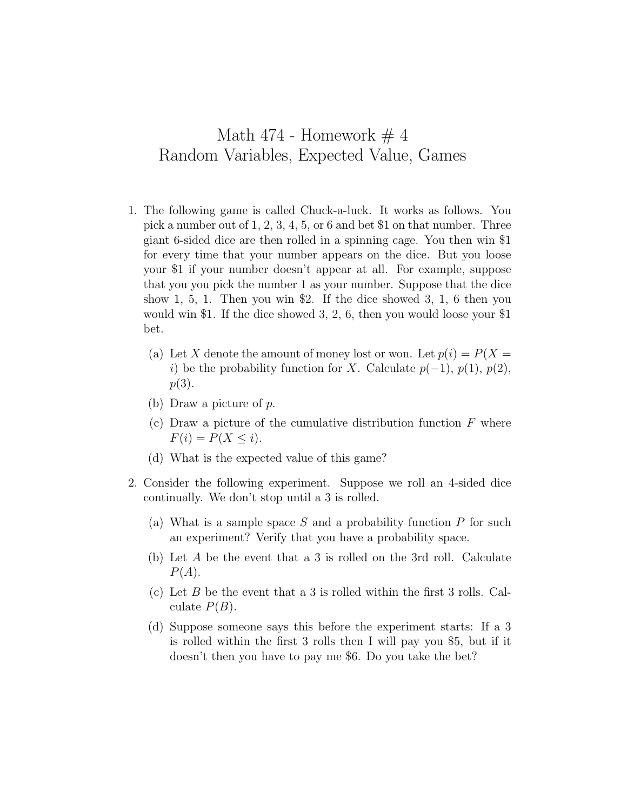## Math 474 - Homework  $\#$  4 Random Variables, Expected Value, Games

- 1. The following game is called Chuck-a-luck. It works as follows. You pick a number out of 1, 2, 3, 4, 5, or 6 and bet \$1 on that number. Three giant 6-sided dice are then rolled in a spinning cage. You then win \$1 for every time that your number appears on the dice. But you loose your \$1 if your number doesn't appear at all. For example, suppose that you you pick the number 1 as your number. Suppose that the dice show 1, 5, 1. Then you win \$2. If the dice showed 3, 1, 6 then you would win \$1. If the dice showed 3, 2, 6, then you would loose your \$1 bet.
	- (a) Let X denote the amount of money lost or won. Let  $p(i) = P(X =$ *i*) be the probability function for *X*. Calculate  $p(-1)$ ,  $p(1)$ ,  $p(2)$ , *p*(3).
	- (b) Draw a picture of *p*.
	- (c) Draw a picture of the cumulative distribution function *F* where  $F(i) = P(X \leq i).$
	- (d) What is the expected value of this game?
- 2. Consider the following experiment. Suppose we roll an 4-sided dice continually. We don't stop until a 3 is rolled.
	- (a) What is a sample space *S* and a probability function *P* for such an experiment? Verify that you have a probability space.
	- (b) Let *A* be the event that a 3 is rolled on the 3rd roll. Calculate *P*(*A*).
	- (c) Let *B* be the event that a 3 is rolled within the first 3 rolls. Calculate  $P(B)$ .
	- (d) Suppose someone says this before the experiment starts: If a 3 is rolled within the first 3 rolls then I will pay you \$5, but if it doesn't then you have to pay me \$6. Do you take the bet?